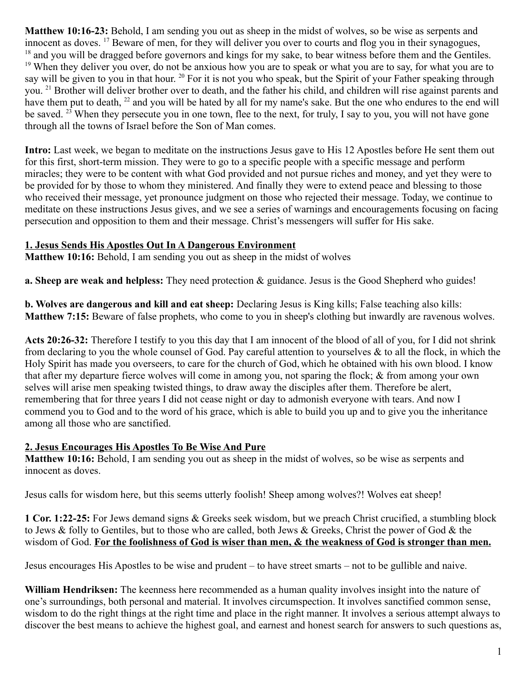**Matthew 10:16-23:** Behold, I am sending you out as sheep in the midst of wolves, so be wise as serpents and innocent as doves. <sup>17</sup> Beware of men, for they will deliver you over to courts and flog you in their synagogues, <sup>18</sup> and you will be dragged before governors and kings for my sake, to bear witness before them and the Gentiles. <sup>19</sup> When they deliver you over, do not be anxious how you are to speak or what you are to say, for what you are to say will be given to you in that hour. <sup>20</sup> For it is not you who speak, but the Spirit of your Father speaking through you. <sup>21</sup> Brother will deliver brother over to death, and the father his child, and children will rise against parents and have them put to death, <sup>22</sup> and you will be hated by all for my name's sake. But the one who endures to the end will be saved. <sup>23</sup> When they persecute you in one town, flee to the next, for truly, I say to you, you will not have gone through all the towns of Israel before the Son of Man comes.

**Intro:** Last week, we began to meditate on the instructions Jesus gave to His 12 Apostles before He sent them out for this first, short-term mission. They were to go to a specific people with a specific message and perform miracles; they were to be content with what God provided and not pursue riches and money, and yet they were to be provided for by those to whom they ministered. And finally they were to extend peace and blessing to those who received their message, yet pronounce judgment on those who rejected their message. Today, we continue to meditate on these instructions Jesus gives, and we see a series of warnings and encouragements focusing on facing persecution and opposition to them and their message. Christ's messengers will suffer for His sake.

### **1. Jesus Sends His Apostles Out In A Dangerous Environment**

**Matthew 10:16:** Behold, I am sending you out as sheep in the midst of wolves

**a. Sheep are weak and helpless:** They need protection & guidance. Jesus is the Good Shepherd who guides!

**b. Wolves are dangerous and kill and eat sheep:** Declaring Jesus is King kills; False teaching also kills: **Matthew 7:15:** Beware of false prophets, who come to you in sheep's clothing but inwardly are ravenous wolves.

**Acts 20:26-32:** Therefore I testify to you this day that I am innocent of the blood of all of you, for I did not shrink from declaring to you the whole counsel of God. Pay careful attention to yourselves & to all the flock, in which the Holy Spirit has made you overseers, to care for the church of God, which he obtained with his own blood. I know that after my departure fierce wolves will come in among you, not sparing the flock; & from among your own selves will arise men speaking twisted things, to draw away the disciples after them. Therefore be alert, remembering that for three years I did not cease night or day to admonish everyone with tears. And now I commend you to God and to the word of his grace, which is able to build you up and to give you the inheritance among all those who are sanctified.

# **2. Jesus Encourages His Apostles To Be Wise And Pure**

**Matthew 10:16:** Behold, I am sending you out as sheep in the midst of wolves, so be wise as serpents and innocent as doves.

Jesus calls for wisdom here, but this seems utterly foolish! Sheep among wolves?! Wolves eat sheep!

**1 Cor. 1:22-25:** For Jews demand signs & Greeks seek wisdom, but we preach Christ crucified, a stumbling block to Jews & folly to Gentiles, but to those who are called, both Jews & Greeks, Christ the power of God & the wisdom of God. **For the foolishness of God is wiser than men, & the weakness of God is stronger than men.**

Jesus encourages His Apostles to be wise and prudent – to have street smarts – not to be gullible and naive.

**William Hendriksen:** The keenness here recommended as a human quality involves insight into the nature of one's surroundings, both personal and material. It involves circumspection. It involves sanctified common sense, wisdom to do the right things at the right time and place in the right manner. It involves a serious attempt always to discover the best means to achieve the highest goal, and earnest and honest search for answers to such questions as,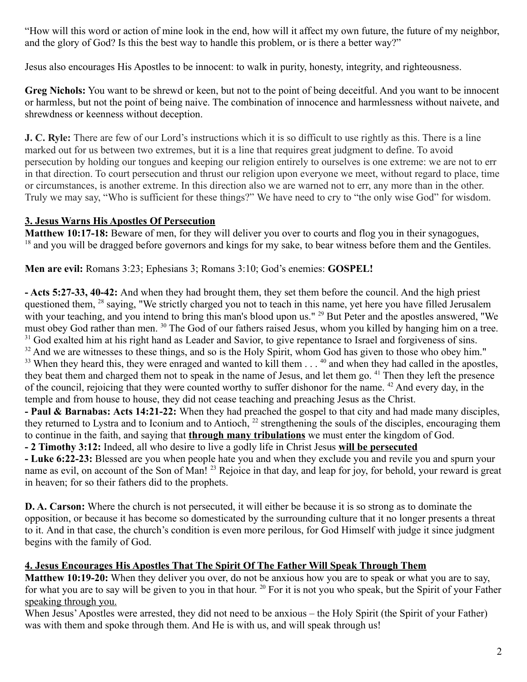"How will this word or action of mine look in the end, how will it affect my own future, the future of my neighbor, and the glory of God? Is this the best way to handle this problem, or is there a better way?"

Jesus also encourages His Apostles to be innocent: to walk in purity, honesty, integrity, and righteousness.

**Greg Nichols:** You want to be shrewd or keen, but not to the point of being deceitful. And you want to be innocent or harmless, but not the point of being naive. The combination of innocence and harmlessness without naivete, and shrewdness or keenness without deception.

**J. C. Ryle:** There are few of our Lord's instructions which it is so difficult to use rightly as this. There is a line marked out for us between two extremes, but it is a line that requires great judgment to define. To avoid persecution by holding our tongues and keeping our religion entirely to ourselves is one extreme: we are not to err in that direction. To court persecution and thrust our religion upon everyone we meet, without regard to place, time or circumstances, is another extreme. In this direction also we are warned not to err, any more than in the other. Truly we may say, "Who is sufficient for these things?" We have need to cry to "the only wise God" for wisdom.

### **3. Jesus Warns His Apostles Of Persecution**

**Matthew 10:17-18:** Beware of men, for they will deliver you over to courts and flog you in their synagogues, <sup>18</sup> and you will be dragged before governors and kings for my sake, to bear witness before them and the Gentiles.

**Men are evil:** Romans 3:23; Ephesians 3; Romans 3:10; God's enemies: **GOSPEL!**

**- Acts 5:27-33, 40-42:** And when they had brought them, they set them before the council. And the high priest questioned them, <sup>28</sup> saying, "We strictly charged you not to teach in this name, yet here you have filled Jerusalem with your teaching, and you intend to bring this man's blood upon us." <sup>29</sup> But Peter and the apostles answered, "We must obey God rather than men. <sup>30</sup> The God of our fathers raised Jesus, whom you killed by hanging him on a tree. <sup>31</sup> God exalted him at his right hand as Leader and Savior, to give repentance to Israel and forgiveness of sins. <sup>32</sup> And we are witnesses to these things, and so is the Holy Spirit, whom God has given to those who obey him." <sup>33</sup> When they heard this, they were enraged and wanted to kill them . . . <sup>40</sup> and when they had called in the apostles, they beat them and charged them not to speak in the name of Jesus, and let them go. <sup>41</sup> Then they left the presence of the council, rejoicing that they were counted worthy to suffer dishonor for the name. <sup>42</sup> And every day, in the temple and from house to house, they did not cease teaching and preaching Jesus as the Christ.

**- Paul & Barnabas: Acts 14:21-22:** When they had preached the gospel to that city and had made many disciples, they returned to Lystra and to Iconium and to Antioch, <sup>22</sup> strengthening the souls of the disciples, encouraging them to continue in the faith, and saying that **through many tribulations** we must enter the kingdom of God.

**- 2 Timothy 3:12:** Indeed, all who desire to live a godly life in Christ Jesus **will be persecuted**

**- Luke 6:22-23:** Blessed are you when people hate you and when they exclude you and revile you and spurn your name as evil, on account of the Son of Man! <sup>23</sup> Rejoice in that day, and leap for joy, for behold, your reward is great in heaven; for so their fathers did to the prophets.

**D. A. Carson:** Where the church is not persecuted, it will either be because it is so strong as to dominate the opposition, or because it has become so domesticated by the surrounding culture that it no longer presents a threat to it. And in that case, the church's condition is even more perilous, for God Himself with judge it since judgment begins with the family of God.

# **4. Jesus Encourages His Apostles That The Spirit Of The Father Will Speak Through Them**

**Matthew 10:19-20:** When they deliver you over, do not be anxious how you are to speak or what you are to say, for what you are to say will be given to you in that hour.  $^{20}$  For it is not you who speak, but the Spirit of your Father speaking through you.

When Jesus' Apostles were arrested, they did not need to be anxious – the Holy Spirit (the Spirit of your Father) was with them and spoke through them. And He is with us, and will speak through us!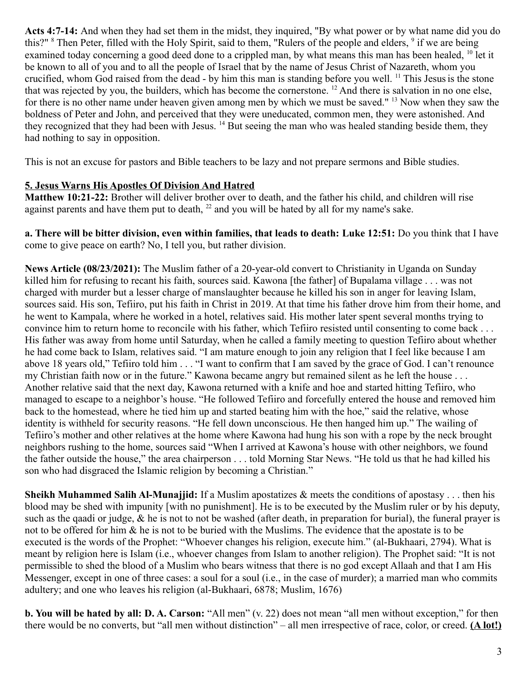**Acts 4:7-14:** And when they had set them in the midst, they inquired, "By what power or by what name did you do this?" <sup>8</sup> Then Peter, filled with the Holy Spirit, said to them, "Rulers of the people and elders, <sup>9</sup> if we are being examined today concerning a good deed done to a crippled man, by what means this man has been healed, <sup>10</sup> let it be known to all of you and to all the people of Israel that by the name of Jesus Christ of Nazareth, whom you crucified, whom God raised from the dead - by him this man is standing before you well. <sup>11</sup> This Jesus is the stone that was rejected by you, the builders, which has become the cornerstone. <sup>12</sup> And there is salvation in no one else, for there is no other name under heaven given among men by which we must be saved." <sup>13</sup> Now when they saw the boldness of Peter and John, and perceived that they were uneducated, common men, they were astonished. And they recognized that they had been with Jesus. <sup>14</sup> But seeing the man who was healed standing beside them, they had nothing to say in opposition.

This is not an excuse for pastors and Bible teachers to be lazy and not prepare sermons and Bible studies.

### **5. Jesus Warns His Apostles Of Division And Hatred**

**Matthew 10:21-22:** Brother will deliver brother over to death, and the father his child, and children will rise against parents and have them put to death,  $^{22}$  and you will be hated by all for my name's sake.

**a. There will be bitter division, even within families, that leads to death: Luke 12:51:** Do you think that I have come to give peace on earth? No, I tell you, but rather division.

**News Article (08/23/2021):** The Muslim father of a 20-year-old convert to Christianity in Uganda on Sunday killed him for refusing to recant his faith, sources said. Kawona [the father] of Bupalama village . . . was not charged with murder but a lesser charge of manslaughter because he killed his son in anger for leaving Islam, sources said. His son, Tefiiro, put his faith in Christ in 2019. At that time his father drove him from their home, and he went to Kampala, where he worked in a hotel, relatives said. His mother later spent several months trying to convince him to return home to reconcile with his father, which Tefiiro resisted until consenting to come back . . . His father was away from home until Saturday, when he called a family meeting to question Tefiiro about whether he had come back to Islam, relatives said. "I am mature enough to join any religion that I feel like because I am above 18 years old," Tefiiro told him . . . "I want to confirm that I am saved by the grace of God. I can't renounce my Christian faith now or in the future." Kawona became angry but remained silent as he left the house . . . Another relative said that the next day, Kawona returned with a knife and hoe and started hitting Tefiiro, who managed to escape to a neighbor's house. "He followed Tefiiro and forcefully entered the house and removed him back to the homestead, where he tied him up and started beating him with the hoe," said the relative, whose identity is withheld for security reasons. "He fell down unconscious. He then hanged him up." The wailing of Tefiiro's mother and other relatives at the home where Kawona had hung his son with a rope by the neck brought neighbors rushing to the home, sources said "When I arrived at Kawona's house with other neighbors, we found the father outside the house," the area chairperson . . . told Morning Star News. "He told us that he had killed his son who had disgraced the Islamic religion by becoming a Christian."

**Sheikh Muhammed Salih Al-Munajjid:** If a Muslim apostatizes & meets the conditions of apostasy . . . then his blood may be shed with impunity [with no punishment]. He is to be executed by the Muslim ruler or by his deputy, such as the qaadi or judge,  $\&$  he is not to not be washed (after death, in preparation for burial), the funeral prayer is not to be offered for him & he is not to be buried with the Muslims. The evidence that the apostate is to be executed is the words of the Prophet: "Whoever changes his religion, execute him." (al-Bukhaari, 2794). What is meant by religion here is Islam (i.e., whoever changes from Islam to another religion). The Prophet said: "It is not permissible to shed the blood of a Muslim who bears witness that there is no god except Allaah and that I am His Messenger, except in one of three cases: a soul for a soul (i.e., in the case of murder); a married man who commits adultery; and one who leaves his religion (al-Bukhaari, 6878; Muslim, 1676)

**b. You will be hated by all: D. A. Carson:** "All men" (v. 22) does not mean "all men without exception," for then there would be no converts, but "all men without distinction" – all men irrespective of race, color, or creed. **(A lot!)**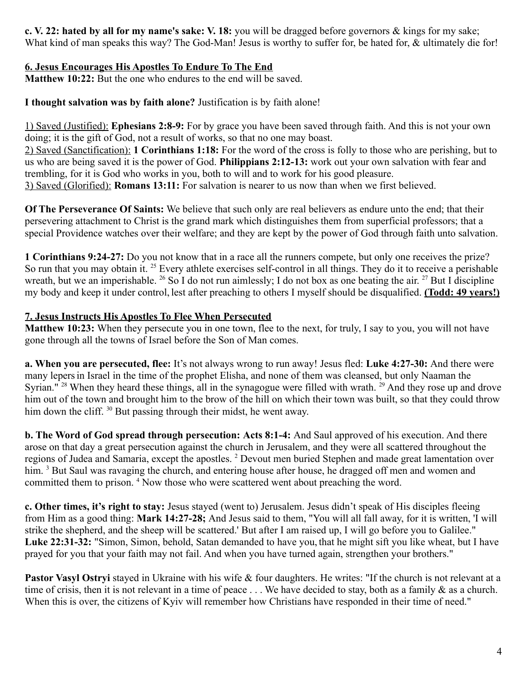**c. V. 22: hated by all for my name's sake: V. 18:** you will be dragged before governors & kings for my sake; What kind of man speaks this way? The God-Man! Jesus is worthy to suffer for, be hated for, & ultimately die for!

# **6. Jesus Encourages His Apostles To Endure To The End**

**Matthew 10:22:** But the one who endures to the end will be saved.

**I thought salvation was by faith alone?** Justification is by faith alone!

1) Saved (Justified): **Ephesians 2:8-9:** For by grace you have been saved through faith. And this is not your own doing; it is the gift of God, not a result of works, so that no one may boast.

2) Saved (Sanctification): **1 Corinthians 1:18:** For the word of the cross is folly to those who are perishing, but to us who are being saved it is the power of God. **Philippians 2:12-13:** work out your own salvation with fear and trembling, for it is God who works in you, both to will and to work for his good pleasure.

3) Saved (Glorified): **Romans 13:11:** For salvation is nearer to us now than when we first believed.

**Of The Perseverance Of Saints:** We believe that such only are real believers as endure unto the end; that their persevering attachment to Christ is the grand mark which distinguishes them from superficial professors; that a special Providence watches over their welfare; and they are kept by the power of God through faith unto salvation.

**1 Corinthians 9:24-27:** Do you not know that in a race all the runners compete, but only one receives the prize? So run that you may obtain it. <sup>25</sup> Every athlete exercises self-control in all things. They do it to receive a perishable wreath, but we an imperishable. <sup>26</sup> So I do not run aimlessly; I do not box as one beating the air. <sup>27</sup> But I discipline my body and keep it under control, lest after preaching to others I myself should be disqualified. **(Todd: 49 years!)**

# **7. Jesus Instructs His Apostles To Flee When Persecuted**

**Matthew 10:23:** When they persecute you in one town, flee to the next, for truly, I say to you, you will not have gone through all the towns of Israel before the Son of Man comes.

**a. When you are persecuted, flee:** It's not always wrong to run away! Jesus fled: **Luke 4:27-30:** And there were many lepersin Israel in the time of the prophet Elisha, and none of them was cleansed, but only Naaman the Syrian." <sup>28</sup> When they heard these things, all in the synagogue were filled with wrath. <sup>29</sup> And they rose up and drove him out of the town and brought him to the brow of the hill on which their town was built, so that they could throw him down the cliff. <sup>30</sup> But passing through their midst, he went away.

**b. The Word of God spread through persecution: Acts 8:1-4:** And Saul approved of his execution. And there arose on that day a great persecution against the church in Jerusalem, and they were all scattered throughout the regions of Judea and Samaria, except the apostles. <sup>2</sup> Devout men buried Stephen and made great lamentation over him. <sup>3</sup> But Saul was ravaging the church, and entering house after house, he dragged off men and women and committed them to prison.<sup>4</sup> Now those who were scattered went about preaching the word.

**c. Other times, it's right to stay:** Jesus stayed (went to) Jerusalem. Jesus didn't speak of His disciples fleeing from Him as a good thing: **Mark 14:27-28;** And Jesus said to them, "You will all fall away, for it is written, 'I will strike the shepherd, and the sheep will be scattered.' But after I am raised up, I will go before you to Galilee." **Luke 22:31-32:** "Simon, Simon, behold, Satan demanded to have you, that he might sift you like wheat, but I have prayed for you that your faith may not fail. And when you have turned again, strengthen your brothers."

Pastor Vasyl Ostryi stayed in Ukraine with his wife & four daughters. He writes: "If the church is not relevant at a time of crisis, then it is not relevant in a time of peace . . . We have decided to stay, both as a family & as a church. When this is over, the citizens of Kyiv will remember how Christians have responded in their time of need."